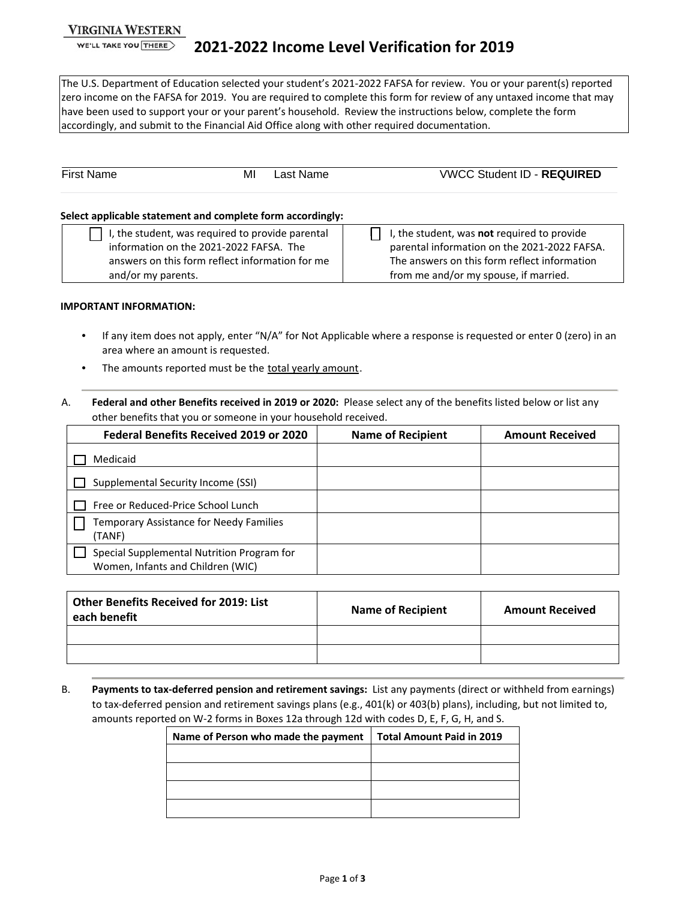## **VIRGINIA WESTERN**

WE'LL TAKE YOU THERE

The U.S. Department of Education selected your student's 2021-2022 FAFSA for review. You or your parent(s) reported zero income on the FAFSA for 2019. You are required to complete this form for review of any untaxed income that may have been used to support your or your parent's household. Review the instructions below, complete the form accordingly, and submit to the Financial Aid Office along with other required documentation.

| <b>First Name</b>                                                                                                                                                    | M | Last Name | <b>VWCC Student ID - REQUIRED</b>                                                                                                                                                    |
|----------------------------------------------------------------------------------------------------------------------------------------------------------------------|---|-----------|--------------------------------------------------------------------------------------------------------------------------------------------------------------------------------------|
| Select applicable statement and complete form accordingly:                                                                                                           |   |           |                                                                                                                                                                                      |
| I, the student, was required to provide parental<br>information on the 2021-2022 FAFSA. The<br>answers on this form reflect information for me<br>and/or my parents. |   |           | I, the student, was not required to provide<br>parental information on the 2021-2022 FAFSA.<br>The answers on this form reflect information<br>from me and/or my spouse, if married. |

#### **IMPORTANT INFORMATION:**

- If any item does not apply, enter "N/A" for Not Applicable where a response is requested or enter 0 (zero) in an area where an amount is requested.
- The amounts reported must be the total yearly amount.
- A. **Federal and other Benefits received in 2019 or 2020:** Please select any of the benefits listed below or list any other benefits that you or someone in your household received.

| <b>Federal Benefits Received 2019 or 2020</b>                                   | <b>Name of Recipient</b> | <b>Amount Received</b> |
|---------------------------------------------------------------------------------|--------------------------|------------------------|
| Medicaid                                                                        |                          |                        |
| Supplemental Security Income (SSI)                                              |                          |                        |
| Free or Reduced-Price School Lunch                                              |                          |                        |
| Temporary Assistance for Needy Families<br>(TANF)                               |                          |                        |
| Special Supplemental Nutrition Program for<br>Women, Infants and Children (WIC) |                          |                        |

| <b>Other Benefits Received for 2019: List</b><br>each benefit | <b>Name of Recipient</b> | <b>Amount Received</b> |
|---------------------------------------------------------------|--------------------------|------------------------|
|                                                               |                          |                        |
|                                                               |                          |                        |

B. **Payments to tax-deferred pension and retirement savings:** List any payments (direct or withheld from earnings) to tax-deferred pension and retirement savings plans (e.g., 401(k) or 403(b) plans), including, but not limited to, amounts reported on W-2 forms in Boxes 12a through 12d with codes D, E, F, G, H, and S.

| Name of Person who made the payment | <b>Total Amount Paid in 2019</b> |
|-------------------------------------|----------------------------------|
|                                     |                                  |
|                                     |                                  |
|                                     |                                  |
|                                     |                                  |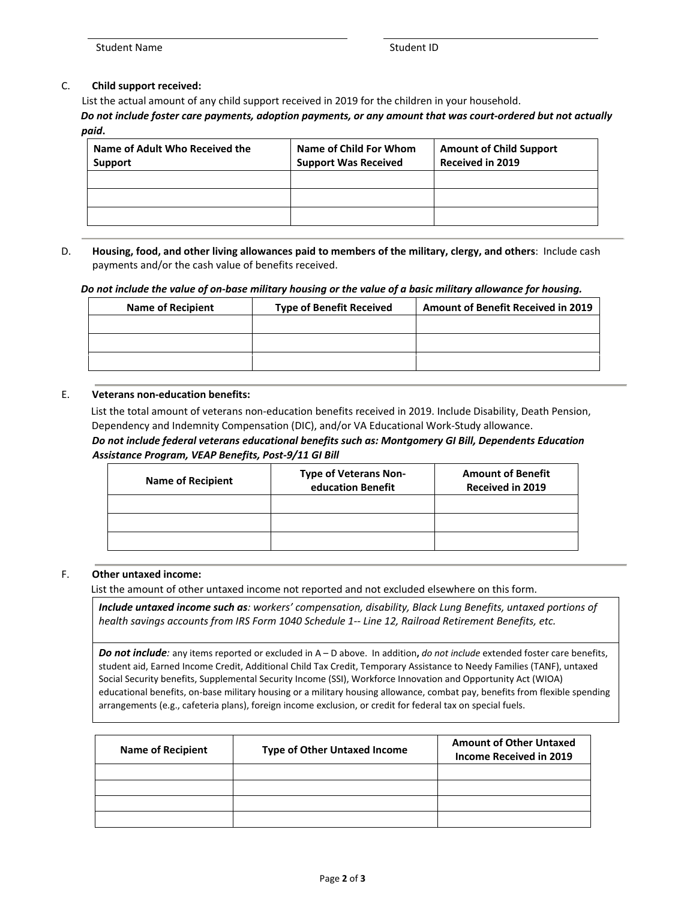## C. **Child support received:**

List the actual amount of any child support received in 2019 for the children in your household. *Do not include foster care payments, adoption payments, or any amount that was court-ordered but not actually paid***.**

| Name of Adult Who Received the<br>Support | Name of Child For Whom<br><b>Support Was Received</b> | <b>Amount of Child Support</b><br><b>Received in 2019</b> |
|-------------------------------------------|-------------------------------------------------------|-----------------------------------------------------------|
|                                           |                                                       |                                                           |
|                                           |                                                       |                                                           |
|                                           |                                                       |                                                           |

## D. **Housing, food, and other living allowances paid to members of the military, clergy, and others**: Include cash payments and/or the cash value of benefits received.

#### *Do not include the value of on-base military housing or the value of a basic military allowance for housing.*

| <b>Name of Recipient</b> | <b>Type of Benefit Received</b> | <b>Amount of Benefit Received in 2019</b> |
|--------------------------|---------------------------------|-------------------------------------------|
|                          |                                 |                                           |
|                          |                                 |                                           |
|                          |                                 |                                           |

#### E. **Veterans non-education benefits:**

List the total amount of veterans non-education benefits received in 2019. Include Disability, Death Pension, Dependency and Indemnity Compensation (DIC), and/or VA Educational Work-Study allowance.

## *Do not include federal veterans educational benefits such as: Montgomery GI Bill, Dependents Education Assistance Program, VEAP Benefits, Post-9/11 GI Bill*

| <b>Type of Veterans Non-</b><br>education Benefit | <b>Amount of Benefit</b><br><b>Received in 2019</b> |
|---------------------------------------------------|-----------------------------------------------------|
|                                                   |                                                     |
|                                                   |                                                     |
|                                                   |                                                     |
|                                                   |                                                     |

## F. **Other untaxed income:**

List the amount of other untaxed income not reported and not excluded elsewhere on this form.

*Include untaxed income such as: workers' compensation, disability, Black Lung Benefits, untaxed portions of health savings accounts from IRS Form 1040 Schedule 1-- Line 12, Railroad Retirement Benefits, etc.*

*Do not include:* any items reported or excluded in A – D above. In addition**,** *do not include* extended foster care benefits, student aid, Earned Income Credit, Additional Child Tax Credit, Temporary Assistance to Needy Families (TANF), untaxed Social Security benefits, Supplemental Security Income (SSI), Workforce Innovation and Opportunity Act (WIOA) educational benefits, on-base military housing or a military housing allowance, combat pay, benefits from flexible spending arrangements (e.g., cafeteria plans), foreign income exclusion, or credit for federal tax on special fuels.

| <b>Name of Recipient</b> | <b>Type of Other Untaxed Income</b> | <b>Amount of Other Untaxed</b><br>Income Received in 2019 |
|--------------------------|-------------------------------------|-----------------------------------------------------------|
|                          |                                     |                                                           |
|                          |                                     |                                                           |
|                          |                                     |                                                           |
|                          |                                     |                                                           |